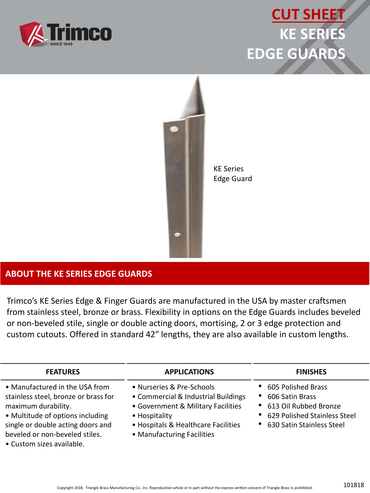

## **CUT SHEET KE SERIES EDGE GUARDS**



KE Series Edge Guard

## **ABOUT THE KE SERIES EDGE GUARDS**

Trimco's KE Series Edge & Finger Guards are manufactured in the USA by master craftsmen from stainless steel, bronze or brass. Flexibility in options on the Edge Guards includes beveled or non-beveled stile, single or double acting doors, mortising, 2 or 3 edge protection and custom cutouts. Offered in standard 42″ lengths, they are also available in custom lengths.

| <b>FEATURES</b>                                                                                                                                                                                                                       | <b>APPLICATIONS</b>                                                                                                                                                                          | <b>FINISHES</b>                                                                                                                                  |
|---------------------------------------------------------------------------------------------------------------------------------------------------------------------------------------------------------------------------------------|----------------------------------------------------------------------------------------------------------------------------------------------------------------------------------------------|--------------------------------------------------------------------------------------------------------------------------------------------------|
| • Manufactured in the USA from<br>stainless steel, bronze or brass for<br>maximum durability.<br>• Multitude of options including<br>single or double acting doors and<br>beveled or non-beveled stiles.<br>• Custom sizes available. | • Nurseries & Pre-Schools<br>• Commercial & Industrial Buildings<br>• Government & Military Facilities<br>• Hospitality<br>• Hospitals & Healthcare Facilities<br>• Manufacturing Facilities | • 605 Polished Brass<br>606 Satin Brass<br>$\bullet$<br>• 613 Oil Rubbed Bronze<br>• 629 Polished Stainless Steel<br>• 630 Satin Stainless Steel |